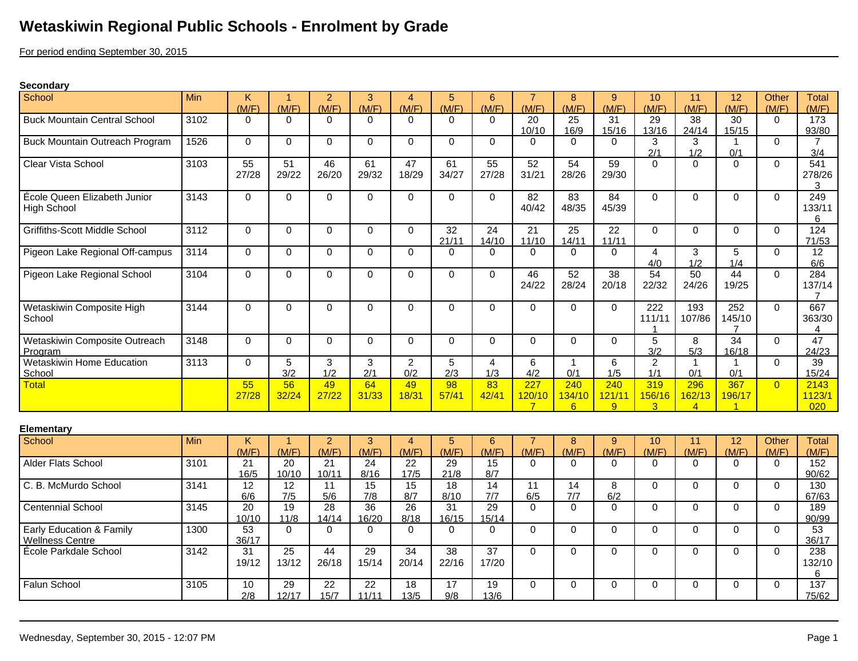## **Wetaskiwin Regional Public Schools - Enrolment by Grade**

For period ending September 30, 2015

## **Secondary**

| School                                             | Min  | Κ<br>(M/F)               | (M/F)                    | 2<br>(M/F)               | 3<br>(M/F)               | 4<br>(M/F)                | 5<br>(M/F)               | 6<br>(M/F)               | (M/F)                           | 8<br>(M/F)             | 9<br>(M/F)               | 10<br>(M/F)                     | 11<br>(M/F)                     | 12<br>(M/F)                     | Other<br>(M/F) | Total<br>(M/F)                         |
|----------------------------------------------------|------|--------------------------|--------------------------|--------------------------|--------------------------|---------------------------|--------------------------|--------------------------|---------------------------------|------------------------|--------------------------|---------------------------------|---------------------------------|---------------------------------|----------------|----------------------------------------|
| <b>Buck Mountain Central School</b>                | 3102 | $\Omega$                 | $\Omega$                 | $\Omega$                 | $\Omega$                 | $\Omega$                  | $\Omega$                 | $\Omega$                 | 20                              | 25                     | 31                       | 29                              | 38                              | 30                              | $\Omega$       | 173                                    |
| Buck Mountain Outreach Program                     | 1526 | $\Omega$                 | $\Omega$                 | $\Omega$                 | $\Omega$                 | $\Omega$                  | $\Omega$                 | $\Omega$                 | 10/10<br>$\Omega$               | 16/9<br>$\Omega$       | 15/16<br>$\Omega$        | 13/16<br>3                      | 24/14<br>3                      | 15/15<br>$\mathbf 1$            | $\Omega$       | 93/80<br>$\overline{7}$                |
| Clear Vista School                                 | 3103 | 55<br>27/28              | 51<br>29/22              | 46<br>26/20              | 61<br>29/32              | 47<br>18/29               | 61<br>34/27              | 55<br>27/28              | 52<br>31/21                     | 54<br>28/26            | 59<br>29/30              | 2/1<br>$\Omega$                 | 1/2<br>$\Omega$                 | 0/1<br>$\Omega$                 | $\Omega$       | 3/4<br>$\overline{541}$<br>278/26<br>3 |
| École Queen Elizabeth Junior<br><b>High School</b> | 3143 | $\Omega$                 | $\Omega$                 | $\mathbf 0$              | $\mathbf 0$              | $\Omega$                  | $\Omega$                 | $\Omega$                 | 82<br>40/42                     | 83<br>48/35            | 84<br>45/39              | $\Omega$                        | $\Omega$                        | $\Omega$                        | $\Omega$       | 249<br>133/11<br>6                     |
| Griffiths-Scott Middle School                      | 3112 | $\Omega$                 | $\Omega$                 | $\Omega$                 | $\mathbf 0$              | $\Omega$                  | 32<br>21/11              | 24<br>14/10              | 21<br>11/10                     | 25<br>14/11            | 22<br>11/11              | $\Omega$                        | $\Omega$                        | $\Omega$                        | $\Omega$       | 124<br>71/53                           |
| Pigeon Lake Regional Off-campus                    | 3114 | $\Omega$                 | $\Omega$                 | $\mathbf 0$              | $\mathbf 0$              | $\Omega$                  | $\Omega$                 | $\Omega$                 | 0                               | $\Omega$               | $\Omega$                 | $\overline{4}$<br>4/0           | 3<br>1/2                        | 5<br>1/4                        | $\Omega$       | 12<br>6/6                              |
| Pigeon Lake Regional School                        | 3104 | $\Omega$                 | $\mathbf 0$              | $\mathbf 0$              | $\mathbf 0$              | $\Omega$                  | $\Omega$                 | 0                        | 46<br>24/22                     | 52<br>28/24            | $\overline{38}$<br>20/18 | $\overline{54}$<br>22/32        | 50<br>24/26                     | 44<br>19/25                     | $\Omega$       | 284<br>137/14<br>$\overline{7}$        |
| Wetaskiwin Composite High<br>School                | 3144 | $\Omega$                 | $\mathbf 0$              | $\mathbf 0$              | $\mathbf 0$              | $\Omega$                  | $\Omega$                 | $\Omega$                 | $\Omega$                        | $\Omega$               | $\mathbf 0$              | 222<br>111/11<br>1              | 193<br>107/86                   | 252<br>145/10<br>$\overline{7}$ | $\Omega$       | 667<br>363/30<br>$\overline{4}$        |
| Wetaskiwin Composite Outreach<br>Program           | 3148 | $\Omega$                 | $\Omega$                 | $\Omega$                 | $\Omega$                 | $\Omega$                  | $\Omega$                 | $\Omega$                 | $\Omega$                        | $\Omega$               | $\Omega$                 | $\overline{5}$<br>3/2           | 8<br>5/3                        | 34<br>16/18                     | $\Omega$       | 47<br>24/23                            |
| Wetaskiwin Home Education<br>School                | 3113 | $\Omega$                 | 5<br>3/2                 | 3<br>1/2                 | 3<br>2/1                 | $\overline{2}$<br>0/2     | 5<br>2/3                 | $\overline{4}$<br>1/3    | 6<br>4/2                        | $\overline{1}$<br>0/1  | 6<br>1/5                 | $\overline{2}$<br>1/1           | $\mathbf 1$<br>0/1              | $\overline{1}$<br>0/1           | $\Omega$       | 39<br>15/24                            |
| <b>Total</b>                                       |      | 55<br>27/28              | 56<br>32/24              | 49<br>27/22              | 64<br>31/33              | 49<br>18/31               | 98<br>57/41              | 83<br>42/41              | 227<br>120/10<br>$\overline{7}$ | 240<br>134/10<br>6     | 240<br>121/11<br>9       | 319<br>156/16<br>$\overline{3}$ | 296<br>162/13<br>$\overline{4}$ | 367<br>196/17                   | $\Omega$       | 2143<br>1123/1<br>020                  |
| <b>Elementary</b>                                  |      |                          |                          |                          |                          |                           |                          |                          |                                 |                        |                          |                                 |                                 |                                 |                |                                        |
| School                                             | Min  | K<br>(M/F)               | $\overline{1}$<br>(M/F)  | $\overline{2}$<br>(M/F)  | 3<br>(M/F)               | $\overline{4}$<br>(M/F)   | $\overline{5}$<br>(M/F)  | 6<br>(M/F)               | $\overline{7}$<br>(M/F)         | 8<br>(M/F)             | 9<br>(M/F)               | 10<br>(M/F)                     | 11<br>(M/F)                     | 12<br>(M/F)                     | Other<br>(M/F) | <b>Total</b><br>(M/F)                  |
| Alder Flats School                                 | 3101 | 21<br>16/5               | $\overline{20}$<br>10/10 | 21<br>10/11              | 24<br>8/16               | 22<br>17/5                | 29<br>21/8               | 15<br>8/7                | $\Omega$                        | $\Omega$               | $\Omega$                 | $\Omega$                        | $\Omega$                        | $\Omega$                        | $\Omega$       | 152<br>90/62                           |
| C. B. McMurdo School                               | 3141 | 12<br>6/6                | 12<br>7/5                | 11<br>5/6                | 15<br>7/8                | $\overline{15}$<br>8/7    | 18<br>8/10               | $\overline{14}$<br>7/7   | 11<br>6/5                       | $\overline{14}$<br>7/7 | 8<br>6/2                 | $\mathbf 0$                     | $\Omega$                        | $\Omega$                        | $\Omega$       | 130<br>67/63                           |
| <b>Centennial School</b>                           | 3145 | $\overline{20}$<br>10/10 | 19<br>11/8               | $\overline{28}$<br>14/14 | $\overline{36}$<br>16/20 | $\overline{26}$<br>8/18   | $\overline{31}$<br>16/15 | $\overline{29}$<br>15/14 | $\Omega$                        | $\Omega$               | $\mathbf 0$              | 0                               | $\mathbf 0$                     | $\Omega$                        | $\mathbf 0$    | 189<br>90/99                           |
| Early Education & Family<br><b>Wellness Centre</b> | 1300 | 53<br>36/17              | $\Omega$                 | $\Omega$                 | $\Omega$                 | $\Omega$                  | $\Omega$                 | $\Omega$                 | $\Omega$                        | $\Omega$               | $\Omega$                 | $\mathbf 0$                     | $\Omega$                        | $\Omega$                        | $\Omega$       | 53<br>36/17                            |
| École Parkdale School                              | 3142 | 31<br>19/12              | $\overline{25}$<br>13/12 | 44<br>26/18              | 29<br>15/14              | 34<br>20/14               | 38<br>22/16              | $\overline{37}$<br>17/20 | $\Omega$                        | $\Omega$               | $\mathbf 0$              | $\mathbf 0$                     | $\mathbf 0$                     | $\Omega$                        | $\Omega$       | 238<br>132/10<br>6                     |
| Falun School                                       | 3105 | 10<br>2/8                | 29<br>12/17              | $\overline{22}$<br>15/7  | $\overline{22}$<br>11/11 | $\overline{18}$<br>$13/5$ | 17<br>9/8                | 19<br>13/6               | $\Omega$                        | $\Omega$               | $\Omega$                 | $\Omega$                        | $\Omega$                        | $\Omega$                        | $\mathbf{0}$   | 137<br>75/62                           |